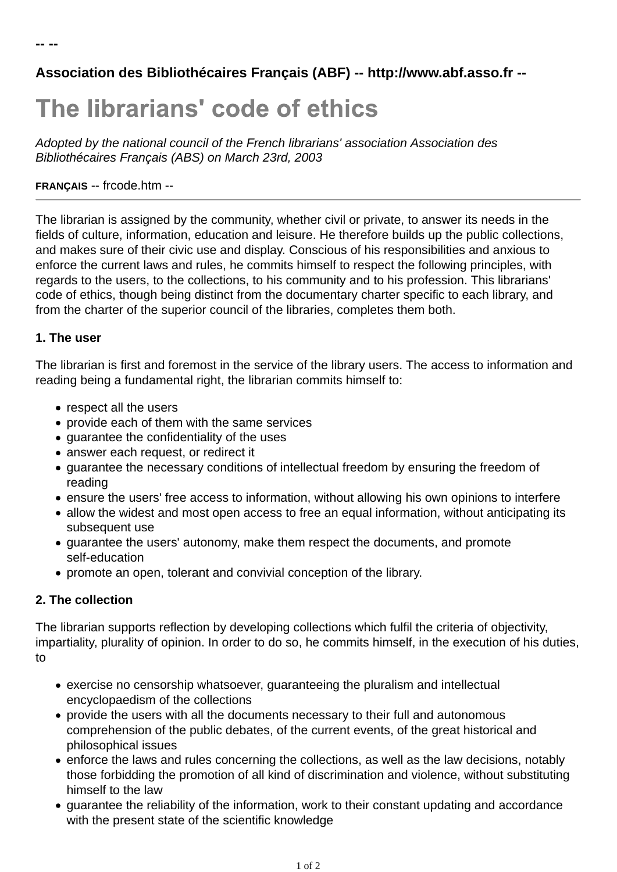# **Association des Bibliothécaires Français (ABF) -- http://www.abf.asso.fr --**

# The librarians' code of ethics

*Adopted by the national council of the French librarians' association Association des Bibliothécaires Français (ABS) on March 23rd, 2003*

#### **FRANÇAIS** -- frcode.htm --

The librarian is assigned by the community, whether civil or private, to answer its needs in the fields of culture, information, education and leisure. He therefore builds up the public collections, and makes sure of their civic use and display. Conscious of his responsibilities and anxious to enforce the current laws and rules, he commits himself to respect the following principles, with regards to the users, to the collections, to his community and to his profession. This librarians' code of ethics, though being distinct from the documentary charter specific to each library, and from the charter of the superior council of the libraries, completes them both.

#### **1. The user**

The librarian is first and foremost in the service of the library users. The access to information and reading being a fundamental right, the librarian commits himself to:

- respect all the users
- provide each of them with the same services
- quarantee the confidentiality of the uses
- answer each request, or redirect it
- guarantee the necessary conditions of intellectual freedom by ensuring the freedom of reading
- ensure the users' free access to information, without allowing his own opinions to interfere
- allow the widest and most open access to free an equal information, without anticipating its subsequent use
- guarantee the users' autonomy, make them respect the documents, and promote self-education
- promote an open, tolerant and convivial conception of the library.

### **2. The collection**

The librarian supports reflection by developing collections which fulfil the criteria of objectivity, impartiality, plurality of opinion. In order to do so, he commits himself, in the execution of his duties, to

- exercise no censorship whatsoever, guaranteeing the pluralism and intellectual encyclopaedism of the collections
- provide the users with all the documents necessary to their full and autonomous comprehension of the public debates, of the current events, of the great historical and philosophical issues
- enforce the laws and rules concerning the collections, as well as the law decisions, notably those forbidding the promotion of all kind of discrimination and violence, without substituting himself to the law
- guarantee the reliability of the information, work to their constant updating and accordance with the present state of the scientific knowledge